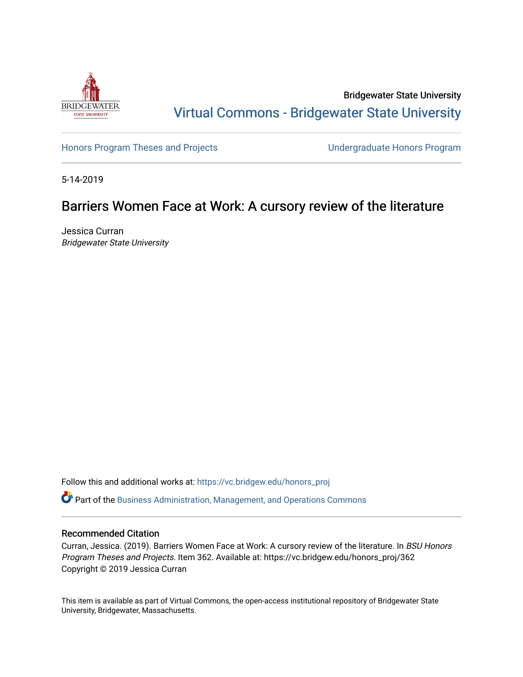

Bridgewater State University [Virtual Commons - Bridgewater State University](https://vc.bridgew.edu/) 

[Honors Program Theses and Projects](https://vc.bridgew.edu/honors_proj) [Undergraduate Honors Program](https://vc.bridgew.edu/honors) 

5-14-2019

# Barriers Women Face at Work: A cursory review of the literature

Jessica Curran Bridgewater State University

Follow this and additional works at: [https://vc.bridgew.edu/honors\\_proj](https://vc.bridgew.edu/honors_proj?utm_source=vc.bridgew.edu%2Fhonors_proj%2F362&utm_medium=PDF&utm_campaign=PDFCoverPages)

Part of the [Business Administration, Management, and Operations Commons](http://network.bepress.com/hgg/discipline/623?utm_source=vc.bridgew.edu%2Fhonors_proj%2F362&utm_medium=PDF&utm_campaign=PDFCoverPages)

## Recommended Citation

Curran, Jessica. (2019). Barriers Women Face at Work: A cursory review of the literature. In BSU Honors Program Theses and Projects. Item 362. Available at: https://vc.bridgew.edu/honors\_proj/362 Copyright © 2019 Jessica Curran

This item is available as part of Virtual Commons, the open-access institutional repository of Bridgewater State University, Bridgewater, Massachusetts.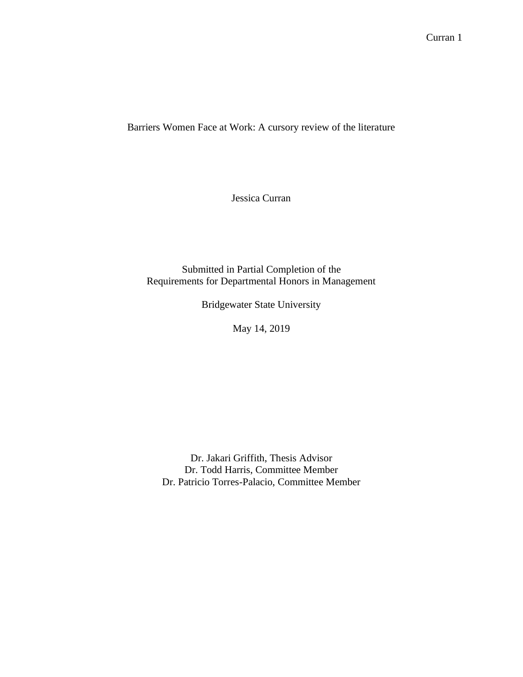Barriers Women Face at Work: A cursory review of the literature

Jessica Curran

Submitted in Partial Completion of the Requirements for Departmental Honors in Management

Bridgewater State University

May 14, 2019

Dr. Jakari Griffith, Thesis Advisor Dr. Todd Harris, Committee Member Dr. Patricio Torres-Palacio, Committee Member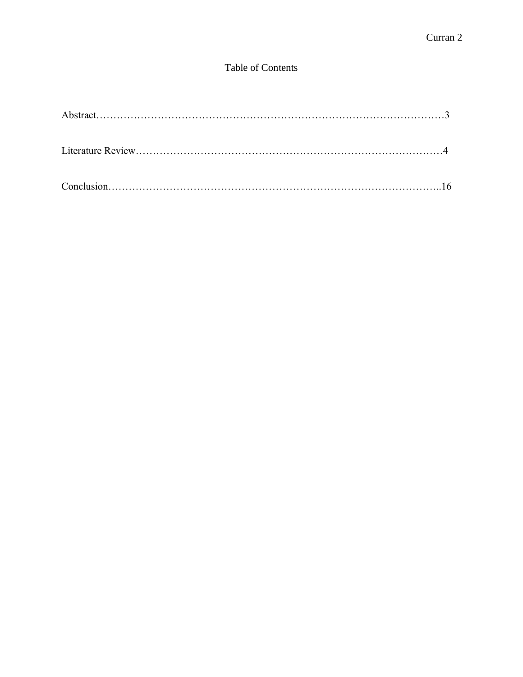## Table of Contents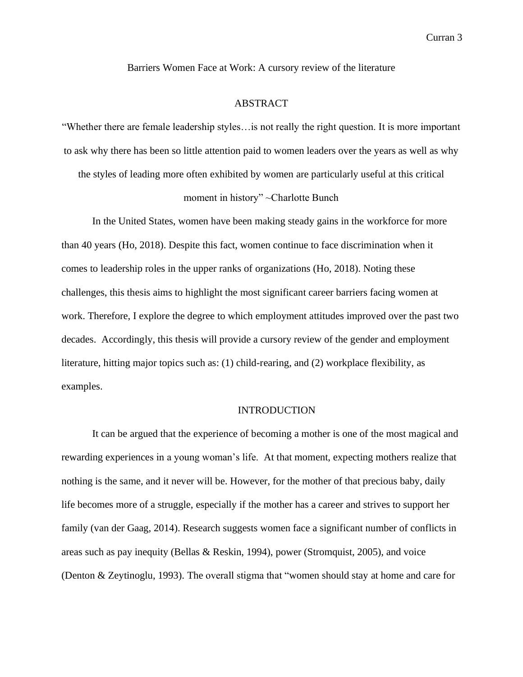Barriers Women Face at Work: A cursory review of the literature

## ABSTRACT

"Whether there are female leadership styles…is not really the right question. It is more important to ask why there has been so little attention paid to women leaders over the years as well as why the styles of leading more often exhibited by women are particularly useful at this critical

## moment in history" ~Charlotte Bunch

In the United States, women have been making steady gains in the workforce for more than 40 years (Ho, 2018). Despite this fact, women continue to face discrimination when it comes to leadership roles in the upper ranks of organizations (Ho, 2018). Noting these challenges, this thesis aims to highlight the most significant career barriers facing women at work. Therefore, I explore the degree to which employment attitudes improved over the past two decades. Accordingly, this thesis will provide a cursory review of the gender and employment literature, hitting major topics such as: (1) child-rearing, and (2) workplace flexibility, as examples.

## INTRODUCTION

It can be argued that the experience of becoming a mother is one of the most magical and rewarding experiences in a young woman's life. At that moment, expecting mothers realize that nothing is the same, and it never will be. However, for the mother of that precious baby, daily life becomes more of a struggle, especially if the mother has a career and strives to support her family (van der Gaag, 2014). Research suggests women face a significant number of conflicts in areas such as pay inequity (Bellas & Reskin, 1994), power (Stromquist, 2005), and voice (Denton & Zeytinoglu, 1993). The overall stigma that "women should stay at home and care for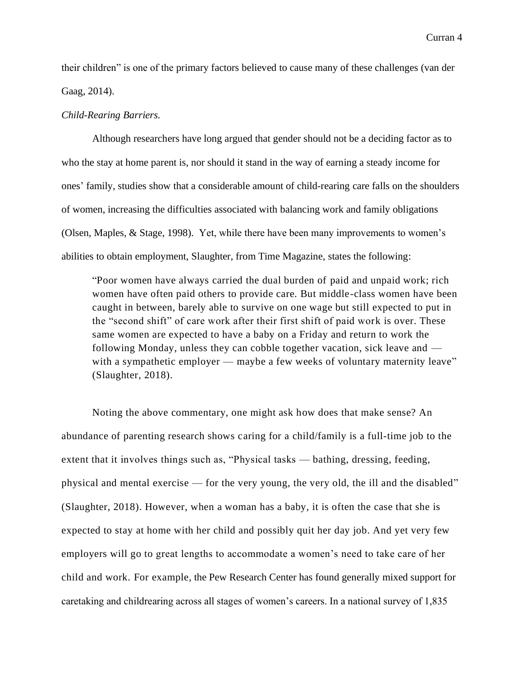their children" is one of the primary factors believed to cause many of these challenges (van der Gaag, 2014).

#### *Child-Rearing Barriers.*

Although researchers have long argued that gender should not be a deciding factor as to who the stay at home parent is, nor should it stand in the way of earning a steady income for ones' family, studies show that a considerable amount of child-rearing care falls on the shoulders of women, increasing the difficulties associated with balancing work and family obligations (Olsen, Maples, & Stage, 1998). Yet, while there have been many improvements to women's abilities to obtain employment, Slaughter, from Time Magazine, states the following:

"Poor women have always carried the dual burden of paid and unpaid work; rich women have often paid others to provide care. But middle-class women have been caught in between, barely able to survive on one wage but still expected to put in the "second shift" of care work after their first shift of paid work is over. These same women are expected to have a baby on a Friday and return to work the following Monday, unless they can cobble together vacation, sick leave and with a sympathetic employer — maybe a few weeks of voluntary maternity leave" (Slaughter, 2018).

Noting the above commentary, one might ask how does that make sense? An abundance of parenting research shows caring for a child/family is a full-time job to the extent that it involves things such as, "Physical tasks — bathing, dressing, feeding, physical and mental exercise — for the very young, the very old, the ill and the disabled" (Slaughter, 2018). However, when a woman has a baby, it is often the case that she is expected to stay at home with her child and possibly quit her day job. And yet very few employers will go to great lengths to accommodate a women's need to take care of her child and work. For example, the Pew Research Center has found generally mixed support for caretaking and childrearing across all stages of women's careers. In a national survey of 1,835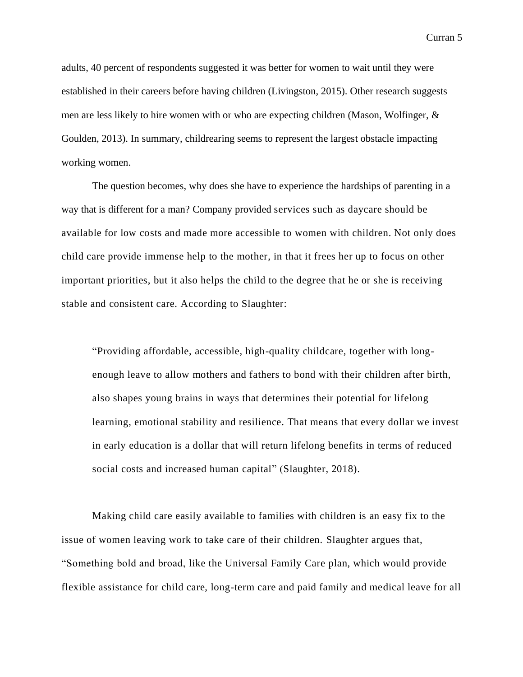adults, 40 percent of respondents suggested it was better for women to wait until they were established in their careers before having children (Livingston, 2015). Other research suggests men are less likely to hire women with or who are expecting children (Mason, Wolfinger, & Goulden, 2013). In summary, childrearing seems to represent the largest obstacle impacting working women.

The question becomes, why does she have to experience the hardships of parenting in a way that is different for a man? Company provided services such as daycare should be available for low costs and made more accessible to women with children. Not only does child care provide immense help to the mother, in that it frees her up to focus on other important priorities, but it also helps the child to the degree that he or she is receiving stable and consistent care. According to Slaughter:

"Providing affordable, accessible, high-quality childcare, together with longenough leave to allow mothers and fathers to bond with their children after birth, also shapes young brains in ways that determines their potential for lifelong learning, emotional stability and resilience. That means that every dollar we invest in early education is a dollar that will return lifelong benefits in terms of reduced social costs and increased human capital" (Slaughter, 2018).

Making child care easily available to families with children is an easy fix to the issue of women leaving work to take care of their children. Slaughter argues that, "Something bold and broad, like the [Universal Family Care](https://protect-us.mimecast.com/s/GYMXCgJyJMF4w2NphGw76e?domain=caringacross.org) plan, which would provide flexible assistance for child care, long-term care and paid family and medical leave for all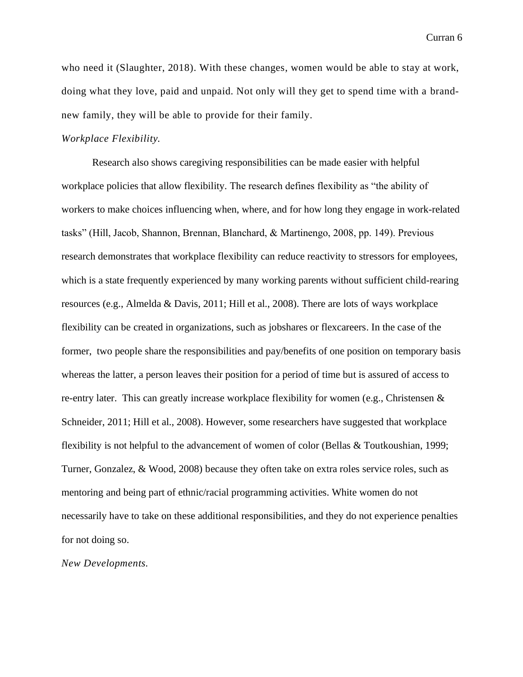who need it (Slaughter, 2018). With these changes, women would be able to stay at work, doing what they love, paid and unpaid. Not only will they get to spend time with a brandnew family, they will be able to provide for their family.

## *Workplace Flexibility.*

Research also shows caregiving responsibilities can be made easier with helpful workplace policies that allow flexibility. The research defines flexibility as "the ability of workers to make choices influencing when, where, and for how long they engage in work-related tasks" (Hill, Jacob, Shannon, Brennan, Blanchard, & Martinengo, 2008, pp. 149). Previous research demonstrates that workplace flexibility can reduce reactivity to stressors for employees, which is a state frequently experienced by many working parents without sufficient child-rearing resources (e.g., Almelda & Davis, 2011; Hill et al., 2008). There are lots of ways workplace flexibility can be created in organizations, such as jobshares or flexcareers. In the case of the former, two people share the responsibilities and pay/benefits of one position on temporary basis whereas the latter, a person leaves their position for a period of time but is assured of access to re-entry later. This can greatly increase workplace flexibility for women (e.g., Christensen & Schneider, 2011; Hill et al., 2008). However, some researchers have suggested that workplace flexibility is not helpful to the advancement of women of color (Bellas & Toutkoushian, 1999; Turner, Gonzalez, & Wood, 2008) because they often take on extra roles service roles, such as mentoring and being part of ethnic/racial programming activities. White women do not necessarily have to take on these additional responsibilities, and they do not experience penalties for not doing so.

*New Developments.*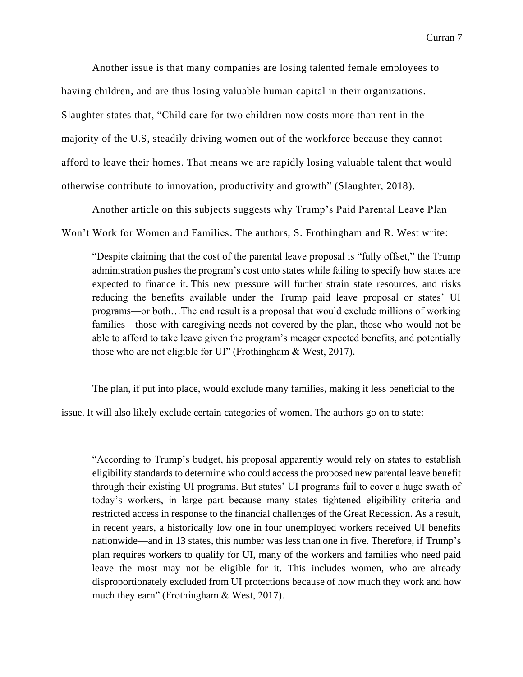Another issue is that many companies are losing talented female employees to having children, and are thus losing valuable human capital in their organizations. Slaughter states that, "Child care for two children [now costs more than rent](https://protect-us.mimecast.com/s/dVbcC0RMRDsYg34ZtPdJAj?domain=fortune.com) in the majority of the U.S, steadily driving women out of the workforce because they cannot afford to leave their homes. That means we are rapidly losing valuable talent that would otherwise contribute to innovation, productivity and growth" (Slaughter, 2018).

Another article on this subjects suggests why Trump's Paid Parental Leave Plan

Won't Work for Women and Families. The authors, S. Frothingham and R. West write:

"Despite claiming that the cost of the parental leave proposal is "fully offset," the Trump administration pushes the program's cost onto states while failing to specify how states are expected to finance it. This new pressure will further strain state resources, and risks reducing the benefits available under the Trump paid leave proposal or states' UI programs—or both…The end result is a proposal that would exclude millions of working families—those with caregiving needs not covered by the plan, those who would not be able to afford to take leave given the program's meager expected benefits, and potentially those who are not eligible for UI" (Frothingham & West, 2017).

The plan, if put into place, would exclude many families, making it less beneficial to the

issue. It will also likely exclude certain categories of women. The authors go on to state:

"According to Trump's budget, his proposal apparently would rely on states to establish eligibility standards to determine who could access the proposed new parental leave benefit through their existing UI programs. But states' UI programs fail to cover a huge swath of today's workers, in large part because many states tightened eligibility criteria and restricted access in response to the financial challenges of the Great Recession. As a result, in recent years, a historically low one in four unemployed workers received UI benefits nationwide—and in 13 states, this number was less than one in five. Therefore, if Trump's plan requires workers to qualify for UI, many of the workers and families who need paid leave the most may not be eligible for it. This includes women, who are already disproportionately excluded from UI protections because of how much they work and how much they earn" (Frothingham & West, 2017).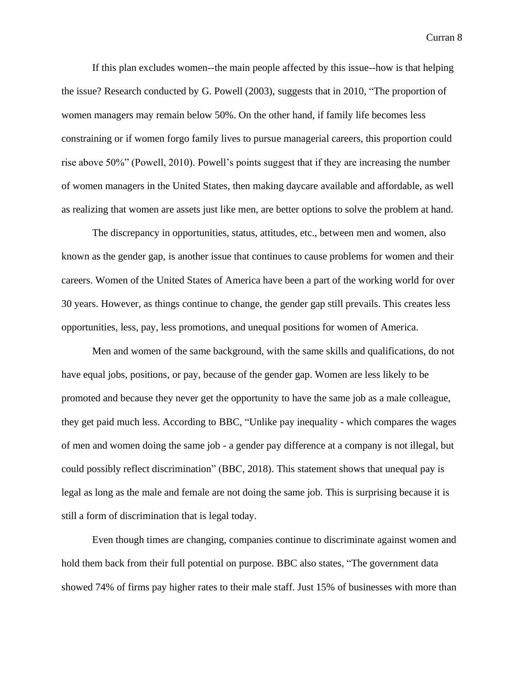If this plan excludes women--the main people affected by this issue--how is that helping the issue? Research conducted by G. Powell (2003), suggests that in 2010, "The proportion of women managers may remain below 50%. On the other hand, if family life becomes less constraining or if women forgo family lives to pursue managerial careers, this proportion could rise above 50%" (Powell, 2010). Powell's points suggest that if they are increasing the number of women managers in the United States, then making daycare available and affordable, as well as realizing that women are assets just like men, are better options to solve the problem at hand.

The discrepancy in opportunities, status, attitudes, etc., between men and women, also known as the gender gap, is another issue that continues to cause problems for women and their careers. Women of the United States of America have been a part of the working world for over 30 years. However, as things continue to change, the gender gap still prevails. This creates less opportunities, less, pay, less promotions, and unequal positions for women of America.

Men and women of the same background, with the same skills and qualifications, do not have equal jobs, positions, or pay, because of the gender gap. Women are less likely to be promoted and because they never get the opportunity to have the same job as a male colleague, they get paid much less. According to BBC, "Unlike pay inequality - which compares the wages of men and women doing the same job - a gender pay difference at a company is not illegal, but could possibly reflect discrimination" (BBC, 2018). This statement shows that unequal pay is legal as long as the male and female are not doing the same job. This is surprising because it is still a form of discrimination that is legal today.

Even though times are changing, companies continue to discriminate against women and hold them back from their full potential on purpose. BBC also states, "The [government](https://gender-pay-gap.service.gov.uk/Viewing/search-results) data [showed](https://gender-pay-gap.service.gov.uk/Viewing/search-results) 74% of firms pay higher rates to their male staff. Just 15% of businesses with more than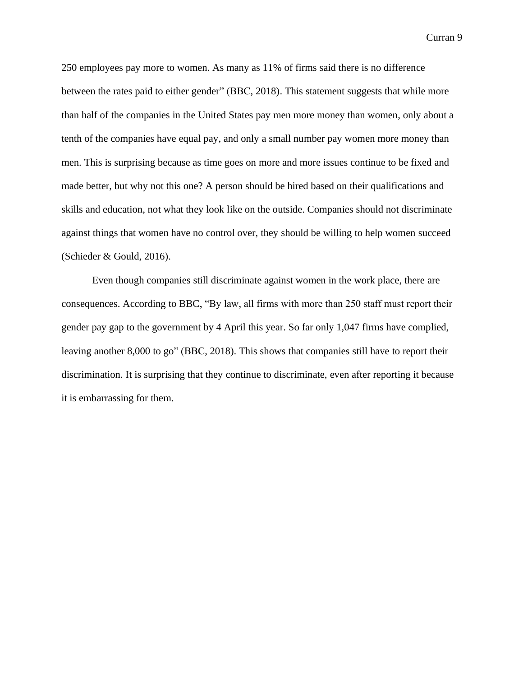250 employees pay more to women. As many as 11% of firms said there is no difference between the rates paid to either gender" (BBC, 2018). This statement suggests that while more than half of the companies in the United States pay men more money than women, only about a tenth of the companies have equal pay, and only a small number pay women more money than men. This is surprising because as time goes on more and more issues continue to be fixed and made better, but why not this one? A person should be hired based on their qualifications and skills and education, not what they look like on the outside. Companies should not discriminate against things that women have no control over, they should be willing to help women succeed (Schieder & Gould, 2016).

Even though companies still discriminate against women in the work place, there are consequences. According to BBC, "By law, all firms with more than 250 staff must report their gender pay gap to the government by 4 April this year. So far only 1,047 firms have complied, leaving another 8,000 to go" (BBC, 2018). This shows that companies still have to report their discrimination. It is surprising that they continue to discriminate, even after reporting it because it is embarrassing for them.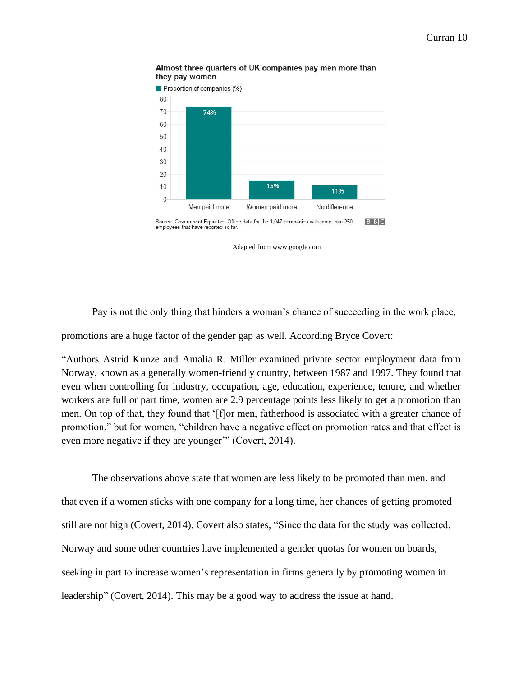



Adapted from www.google.com

Pay is not the only thing that hinders a woman's chance of succeeding in the work place,

promotions are a huge factor of the gender gap as well. According Bryce Covert:

"Authors Astrid Kunze and Amalia R. Miller examined private sector employment data from Norway, known as a [generally women-friendly country,](http://thinkprogress.org/economy/2014/10/29/3585793/women-equality-ranking/) between 1987 and 1997. They found that even when controlling for industry, occupation, age, education, experience, tenure, and whether workers are full or part time, women are 2.9 percentage points less likely to get a promotion than men. On top of that, they found that '[f]or men, fatherhood is associated with a greater chance of promotion," but for women, "children have a negative effect on promotion rates and that effect is even more negative if they are younger'" (Covert, 2014).

The observations above state that women are less likely to be promoted than men, and that even if a women sticks with one company for a long time, her chances of getting promoted still are not high (Covert, 2014). Covert also states, "Since the data for the study was collected, Norway and some other countries have [implemented a gender quotas](http://thinkprogress.org/economy/2014/09/18/3569218/women-boards-quotas/) for women on boards, seeking in part to increase women's representation in firms generally by promoting women in leadership" (Covert, 2014). This may be a good way to address the issue at hand.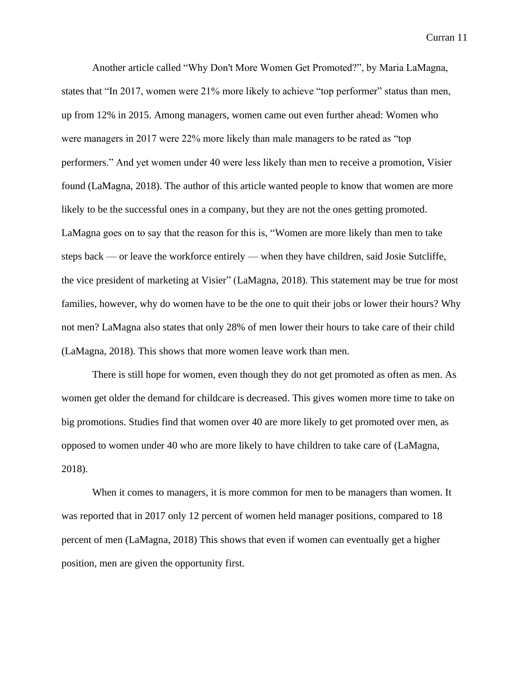Another article called "Why Don't More Women Get Promoted?", by Maria LaMagna, states that "In 2017, women were 21% more likely to achieve "top performer" status than men, up from 12% in 2015. Among managers, women came out even further ahead: Women who were managers in 2017 were 22% more likely than male managers to be rated as "top performers." And yet women under 40 were less likely than men to receive a promotion, Visier found (LaMagna, 2018). The author of this article wanted people to know that women are more likely to be the successful ones in a company, but they are not the ones getting promoted. LaMagna goes on to say that the reason for this is, "Women are more likely than men to take steps back — or leave the workforce entirely — when they have children, said Josie Sutcliffe, the vice president of marketing at Visier" (LaMagna, 2018). This statement may be true for most families, however, why do women have to be the one to quit their jobs or lower their hours? Why not men? LaMagna also states that only 28% of men lower their hours to take care of their child (LaMagna, 2018). This shows that more women leave work than men.

There is still hope for women, even though they do not get promoted as often as men. As women get older the demand for childcare is decreased. This gives women more time to take on big promotions. Studies find that women over 40 are more likely to get promoted over men, as opposed to women under 40 who are more likely to have children to take care of (LaMagna, 2018).

When it comes to managers, it is more common for men to be managers than women. It was reported that in 2017 only 12 percent of women held manager positions, compared to 18 percent of men (LaMagna, 2018) This shows that even if women can eventually get a higher position, men are given the opportunity first.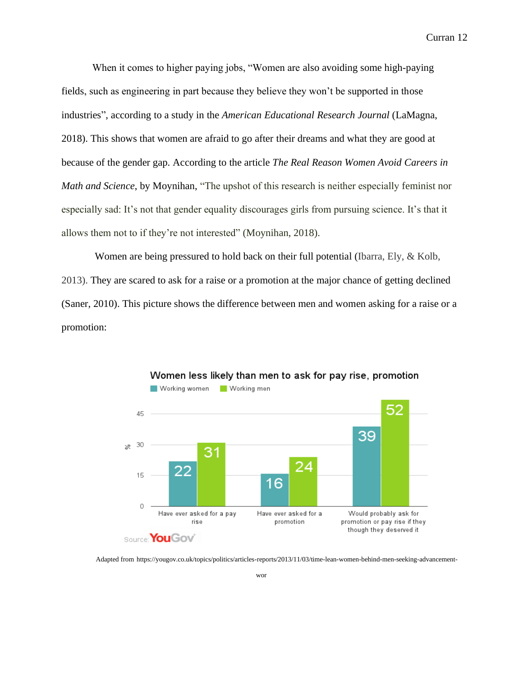When it comes to higher paying jobs, "Women are also [avoiding some high-paying](https://www.marketwatch.com/story/women-are-avoiding-higher-paying-fields-they-believe-are-hostile-towards-them-2018-01-26)  [fields,](https://www.marketwatch.com/story/women-are-avoiding-higher-paying-fields-they-believe-are-hostile-towards-them-2018-01-26) such as engineering in part because they believe they won't be supported in those industries", according to a study in the *American Educational Research Journal* (LaMagna, 2018). This shows that women are afraid to go after their dreams and what they are good at because of the gender gap. According to the article *The Real Reason Women Avoid Careers in Math and Science*, by Moynihan, "The upshot of this research is neither especially feminist nor especially sad: It's not that gender equality discourages girls from pursuing science. It's that it allows them not to if they're not interested" (Moynihan, 2018).

Women are being pressured to hold back on their full potential (Ibarra, Ely, & Kolb, 2013). They are scared to ask for a raise or a promotion at the major chance of getting declined (Saner, 2010). This picture shows the difference between men and women asking for a raise or a promotion:



Women less likely than men to ask for pay rise, promotion

Adapted from [https://yougov.co.uk/topics/politics/articles-reports/2013/11/03/time-lean-women-behind-men-seeking-advancement-](https://yougov.co.uk/topics/politics/articles-reports/2013/11/03/time-lean-women-behind-men-seeking-advancement-wor)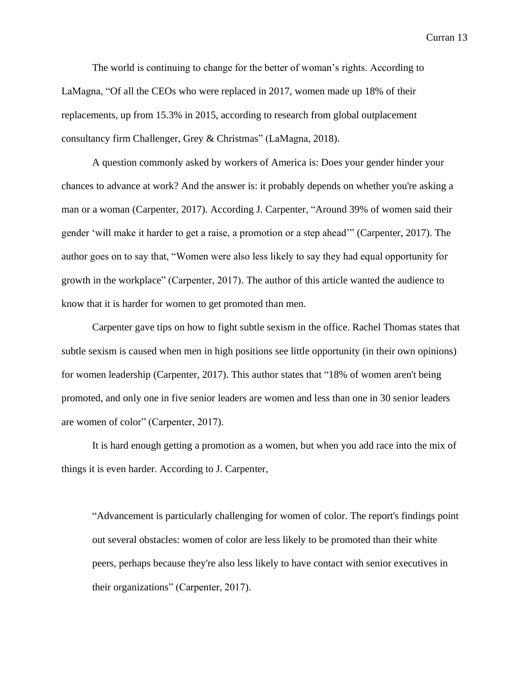The world is continuing to change for the better of woman's rights. According to LaMagna, "Of all the CEOs who were replaced in 2017, women made up 18% of their replacements, up from 15.3% in 2015, according to research from global outplacement consultancy firm Challenger, Grey & Christmas" (LaMagna, 2018).

A question commonly asked by workers of America is: Does your gender hinder your chances to advance at work? And the answer is: it probably depends on whether you're asking a man or a woman (Carpenter, 2017). According J. Carpenter, "Around 39% of women said their gender 'will make it harder to get a raise, a promotion or a step ahead'" (Carpenter, 2017). The author goes on to say that, "Women were also less likely to say they had equal opportunity for growth in the workplace" (Carpenter, 2017). The author of this article wanted the audience to know that it is harder for women to get promoted than men.

Carpenter gave tips on how to fight subtle sexism in the office. Rachel Thomas states that subtle sexism is caused when men in high positions see little opportunity (in their own opinions) for women leadership (Carpenter, 2017). This author states that "18% of women aren't being promoted, and only one in five senior leaders are women and less than one in 30 senior leaders are women of color" (Carpenter, 2017).

It is hard enough getting a promotion as a women, but when you add race into the mix of things it is even harder. According to J. Carpenter,

"Advancement is particularly challenging for women of color. The report's findings point out several obstacles: women of color are less likely to be promoted than their white peers, perhaps because they're also less likely to have contact with senior executives in their organizations" (Carpenter, 2017).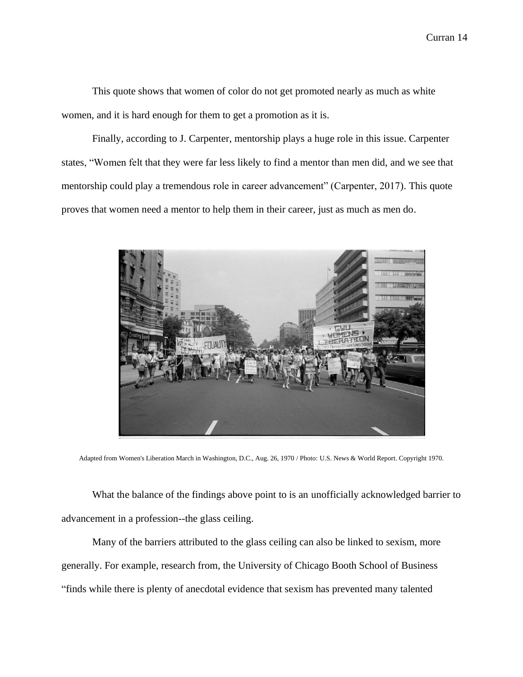This quote shows that women of color do not get promoted nearly as much as white women, and it is hard enough for them to get a promotion as it is.

Finally, according to J. Carpenter, mentorship plays a huge role in this issue. Carpenter states, "Women felt that they were far less likely to find a mentor than men did, and we see that mentorship could play a tremendous role in career advancement" (Carpenter, 2017). This quote proves that women need a mentor to help them in their career, just as much as men do.



Adapted from Women's Liberation March in Washington, D.C., Aug. 26, 1970 / Photo: [U.S. News & World Report.](http://en.wikipedia.org/wiki/File:Leffler_-_WomensLib1970_WashingtonDC.jpg) Copyright 1970.

What the balance of the findings above point to is an unofficially acknowledged barrier to advancement in a profession--the glass ceiling.

Many of the barriers attributed to the glass ceiling can also be linked to sexism, more generally. For example, research from, the University of Chicago Booth School of Business "finds while there is plenty of anecdotal evidence that sexism has prevented many talented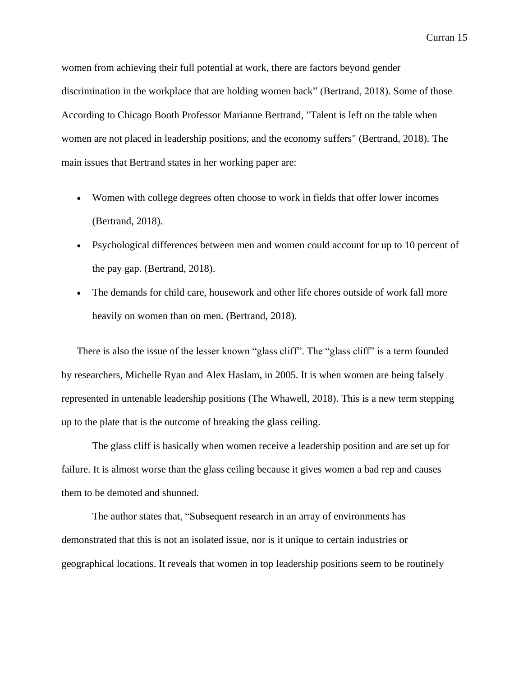women from achieving their full potential at work, there are factors beyond gender discrimination in the workplace that are holding women back" (Bertrand, 2018). Some of those According to Chicago Booth Professor Marianne Bertrand, "Talent is left on the table when women are not placed in leadership positions, and the economy suffers" (Bertrand, 2018). The main issues that Bertrand states in her working paper are:

- Women with college degrees often choose to work in fields that offer lower incomes (Bertrand, 2018).
- Psychological differences between men and women could account for up to 10 percent of the pay gap. (Bertrand, 2018).
- The demands for child care, housework and other life chores outside of work fall more heavily on women than on men. (Bertrand, 2018).

There is also the issue of the lesser known "glass cliff". The "glass cliff" is a term founded by researchers, Michelle Ryan and Alex Haslam, in 2005. It is when women are being falsely represented in untenable leadership positions (The Whawell, 2018). This is a new term stepping up to the plate that is the outcome of breaking the glass ceiling.

The glass cliff is basically when women receive a leadership position and are set up for failure. It is almost worse than the glass ceiling because it gives women a bad rep and causes them to be demoted and shunned.

The author states that, "Subsequent research in an [array](https://onlinelibrary.wiley.com/doi/full/10.1111/j.1471-6402.2009.01541.x) of [environments](http://psycnet.apa.org/record/2010-26139-001) has demonstrated that this is not an isolated issue, nor is it unique to certain industries or geographical locations. It reveals that women in top leadership positions seem to be routinely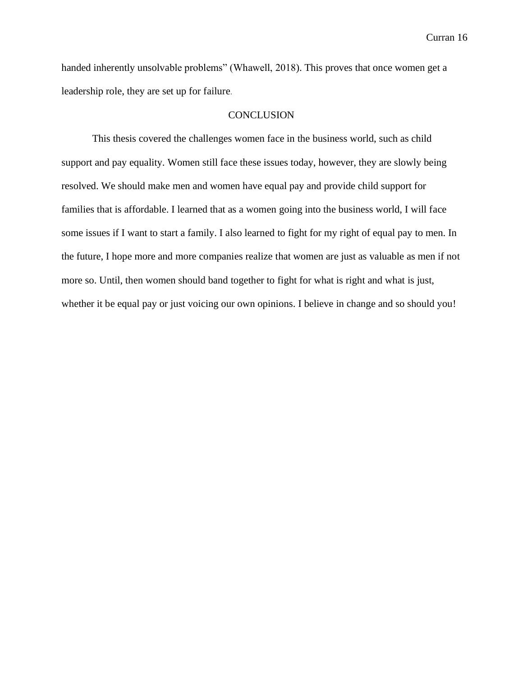handed inherently unsolvable problems" (Whawell, 2018). This proves that once women get a leadership role, they are set up for failure.

#### **CONCLUSION**

This thesis covered the challenges women face in the business world, such as child support and pay equality. Women still face these issues today, however, they are slowly being resolved. We should make men and women have equal pay and provide child support for families that is affordable. I learned that as a women going into the business world, I will face some issues if I want to start a family. I also learned to fight for my right of equal pay to men. In the future, I hope more and more companies realize that women are just as valuable as men if not more so. Until, then women should band together to fight for what is right and what is just, whether it be equal pay or just voicing our own opinions. I believe in change and so should you!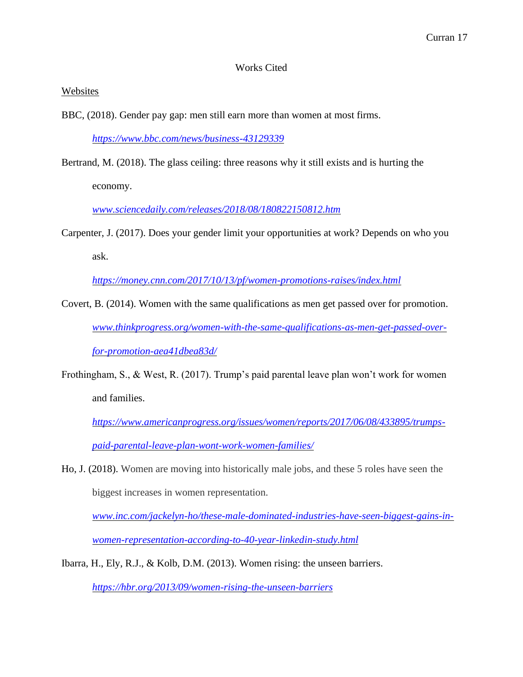## Works Cited

## Websites

BBC, (2018). Gender pay gap: men still earn more than women at most firms.

*<https://www.bbc.com/news/business-43129339>*

Bertrand, M. (2018). The glass ceiling: three reasons why it still exists and is hurting the economy.

*[www.sciencedaily.com/releases/2018/08/180822150812.htm](http://www.sciencedaily.com/releases/2018/08/180822150812.htm)*

Carpenter, J. (2017). Does your gender limit your opportunities at work? Depends on who you ask.

*<https://money.cnn.com/2017/10/13/pf/women-promotions-raises/index.html>*

- Covert, B. (2014). Women with the same qualifications as men get passed over for promotion. *[www.thinkprogress.org/women-with-the-same-qualifications-as-men-get-passed-over](http://www.thinkprogress.org/women-with-the-same-qualifications-as-men-get-passed-over-for-promotion-aea41dbea83d/)[for-promotion-aea41dbea83d/](http://www.thinkprogress.org/women-with-the-same-qualifications-as-men-get-passed-over-for-promotion-aea41dbea83d/)*
- Frothingham, S., & West, R. (2017). Trump's paid parental leave plan won't work for women and families.

*[https://www.americanprogress.org/issues/women/reports/2017/06/08/433895/trumps](https://www.americanprogress.org/issues/women/reports/2017/06/08/433895/trumps-paid-parental-leave-plan-wont-work-women-families/)[paid-parental-leave-plan-wont-work-women-families/](https://www.americanprogress.org/issues/women/reports/2017/06/08/433895/trumps-paid-parental-leave-plan-wont-work-women-families/)*

Ho, J. (2018). Women are moving into historically male jobs, and these 5 roles have seen the biggest increases in women representation.

*[www.inc.com/jackelyn-ho/these-male-dominated-industries-have-seen-biggest-gains-in](http://www.inc.com/jackelyn-ho/these-male-dominated-industries-have-seen-biggest-gains-in-women-representation-according-to-40-year-linkedin-study.html)[women-representation-according-to-40-year-linkedin-study.html](http://www.inc.com/jackelyn-ho/these-male-dominated-industries-have-seen-biggest-gains-in-women-representation-according-to-40-year-linkedin-study.html)*

Ibarra, H., Ely, R.J., & Kolb, D.M. (2013). Women rising: the unseen barriers.

*<https://hbr.org/2013/09/women-rising-the-unseen-barriers>*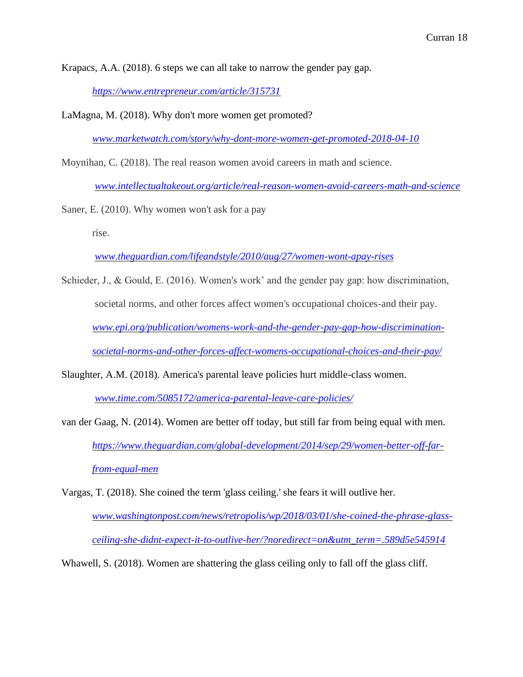Krapacs, A.A. (2018). 6 steps we can all take to narrow the gender pay gap.

*<https://www.entrepreneur.com/article/315731>*

LaMagna, M. (2018). Why don't more women get promoted?

*[www.marketwatch.com/story/why-dont-more-women-get-promoted-2018-04-10](http://www.marketwatch.com/story/why-dont-more-women-get-promoted-2018-04-10)*

Moynihan, C. (2018). The real reason women avoid careers in math and science.

*[www.intellectualtakeout.org/article/real-reason-women-avoid-careers-math-and-science](http://www.intellectualtakeout.org/article/real-reason-women-avoid-careers-math-and-science)*

Saner, E. (2010). Why women won't ask for a pay

rise.

*[www.theguardian.com/lifeandstyle/2010/aug/27/women-wont-apay-rises](http://www.theguardian.com/lifeandstyle/2010/aug/27/women-wont-apay-rises)*

- Schieder, J., & Gould, E. (2016). Women's work' and the gender pay gap: how discrimination, societal norms, and other forces affect women's occupational choices-and their pay. *[www.epi.org/publication/womens-work-and-the-gender-pay-gap-how-discrimination](http://www.epi.org/publication/womens-work-and-the-gender-pay-gap-how-discrimination-societal-norms-and-other-forces-affect-womens-occupational-choices-and-their-pay/)[societal-norms-and-other-forces-affect-womens-occupational-choices-and-their-pay/](http://www.epi.org/publication/womens-work-and-the-gender-pay-gap-how-discrimination-societal-norms-and-other-forces-affect-womens-occupational-choices-and-their-pay/)*
- Slaughter, A.M. (2018). America's parental leave policies hurt middle-class women.

*[www.time.com/5085172/america-parental-leave-care-policies/](http://www.time.com/5085172/america-parental-leave-care-policies/)*

- van der Gaag, N. (2014). Women are better off today, but still far from being equal with men. *[https://www.theguardian.com/global-development/2014/sep/29/women-better-off-far](https://www.theguardian.com/global-development/2014/sep/29/women-better-off-far-from-equal-men)[from-equal-men](https://www.theguardian.com/global-development/2014/sep/29/women-better-off-far-from-equal-men)*
- Vargas, T. (2018). She coined the term 'glass ceiling.' she fears it will outlive her. *[www.washingtonpost.com/news/retropolis/wp/2018/03/01/she-coined-the-phrase-glass](http://www.washingtonpost.com/news/retropolis/wp/2018/03/01/she-coined-the-phrase-glass-ceiling-she-didnt-expect-it-to-outlive-her/?noredirect=on&utm_term=.589d5e545914)[ceiling-she-didnt-expect-it-to-outlive-her/?noredirect=on&utm\\_term=.589d5e545914](http://www.washingtonpost.com/news/retropolis/wp/2018/03/01/she-coined-the-phrase-glass-ceiling-she-didnt-expect-it-to-outlive-her/?noredirect=on&utm_term=.589d5e545914)*

Whawell, S. (2018). Women are shattering the glass ceiling only to fall off the glass cliff.